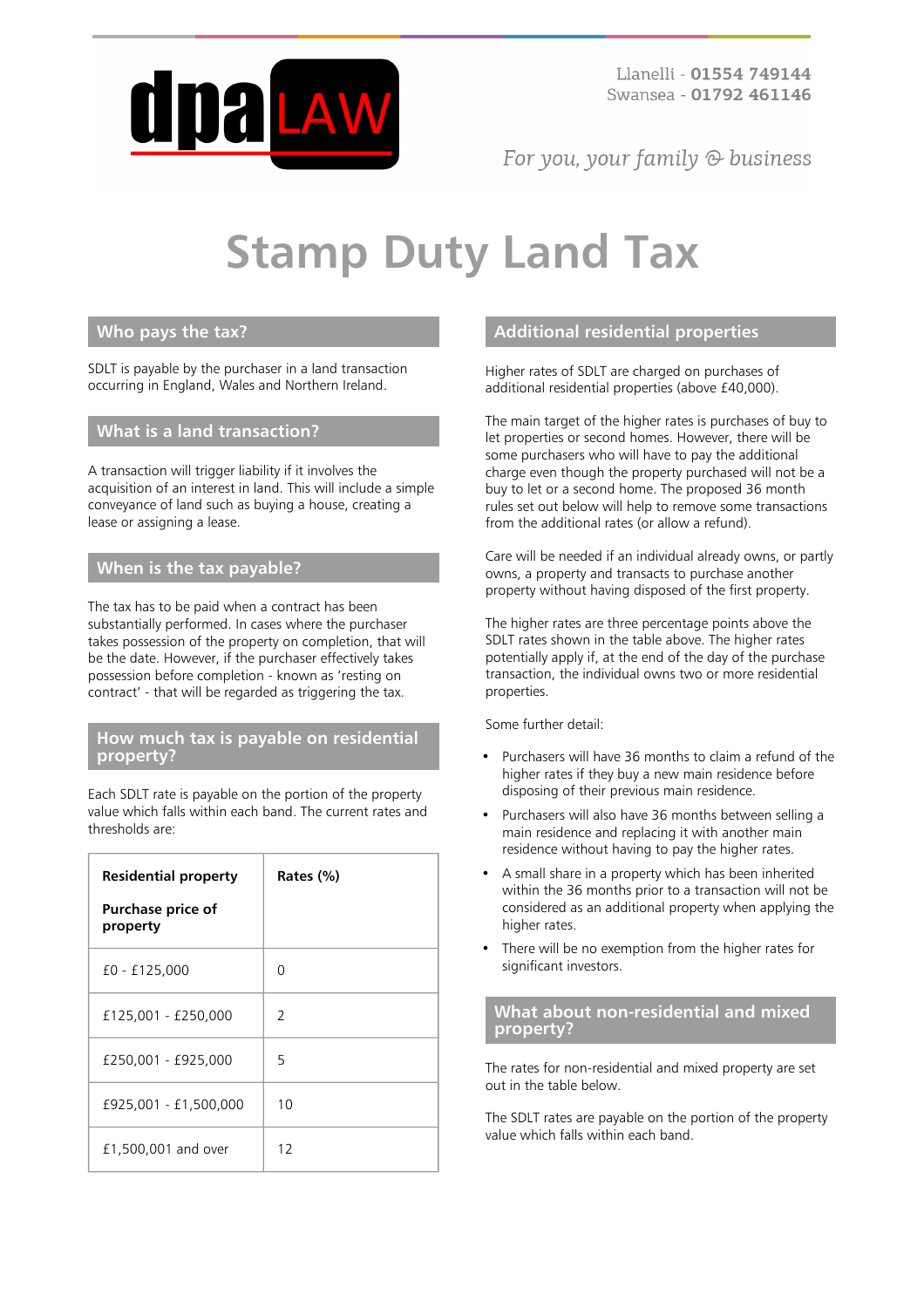

For you, your family  $\odot$  business

# **Stamp Duty Land Tax**

# **Who pays the tax?**

SDLT is payable by the purchaser in a land transaction occurring in England, Wales and Northern Ireland.

# **What is a land transaction?**

A transaction will trigger liability if it involves the acquisition of an interest in land. This will include a simple conveyance of land such as buying a house, creating a lease or assigning a lease.

# **When is the tax payable?**

The tax has to be paid when a contract has been substantially performed. In cases where the purchaser takes possession of the property on completion, that will be the date. However, if the purchaser effectively takes possession before completion - known as 'resting on contract' - that will be regarded as triggering the tax.

#### **How much tax is payable on residential property?**

Each SDLT rate is payable on the portion of the property value which falls within each band. The current rates and thresholds are:

| <b>Residential property</b>          | Rates (%)     |
|--------------------------------------|---------------|
| <b>Purchase price of</b><br>property |               |
| £0 - £125,000                        | ∩             |
| £125,001 - £250,000                  | $\mathcal{L}$ |
| £250,001 - £925,000                  | 5             |
| £925,001 - £1,500,000                | 10            |
| £1,500,001 and over                  | 12            |

# **Additional residential properties**

Higher rates of SDLT are charged on purchases of additional residential properties (above £40,000).

The main target of the higher rates is purchases of buy to let properties or second homes. However, there will be some purchasers who will have to pay the additional charge even though the property purchased will not be a buy to let or a second home. The proposed 36 month rules set out below will help to remove some transactions from the additional rates (or allow a refund).

Care will be needed if an individual already owns, or partly owns, a property and transacts to purchase another property without having disposed of the first property.

The higher rates are three percentage points above the SDLT rates shown in the table above. The higher rates potentially apply if, at the end of the day of the purchase transaction, the individual owns two or more residential properties.

Some further detail:

- Purchasers will have 36 months to claim a refund of the higher rates if they buy a new main residence before disposing of their previous main residence.
- Purchasers will also have 36 months between selling a main residence and replacing it with another main residence without having to pay the higher rates.
- A small share in a property which has been inherited within the 36 months prior to a transaction will not be considered as an additional property when applying the higher rates.
- There will be no exemption from the higher rates for significant investors.

# **What about non-residential and mixed property?**

The rates for non-residential and mixed property are set out in the table below.

The SDLT rates are payable on the portion of the property value which falls within each band.